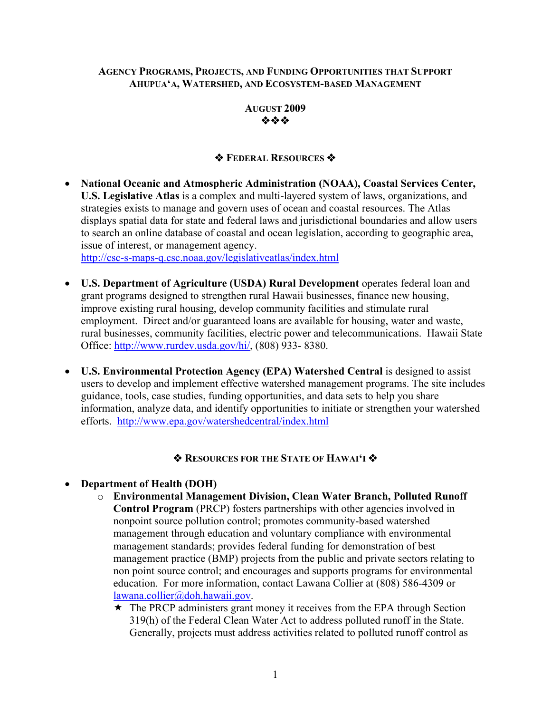#### **AGENCY PROGRAMS, PROJECTS, AND FUNDING OPPORTUNITIES THAT SUPPORT AHUPUA'A, WATERSHED, AND ECOSYSTEM-BASED MANAGEMENT**



## *<b>❖ FEDERAL RESOURCES ❖*

• **National Oceanic and Atmospheric Administration (NOAA), Coastal Services Center, U.S. Legislative Atlas** is a complex and multi-layered system of laws, organizations, and strategies exists to manage and govern uses of ocean and coastal resources. The Atlas displays spatial data for state and federal laws and jurisdictional boundaries and allow users to search an online database of coastal and ocean legislation, according to geographic area, issue of interest, or management agency. <http://csc-s-maps-q.csc.noaa.gov/legislativeatlas/index.html>

• **U.S. Department of Agriculture (USDA) Rural Development** operates federal loan and grant programs designed to strengthen rural Hawaii businesses, finance new housing, improve existing rural housing, develop community facilities and stimulate rural employment. Direct and/or guaranteed loans are available for housing, water and waste, rural businesses, community facilities, electric power and telecommunications. Hawaii State Office: [http://www.rurdev.usda.gov/hi/,](http://www.rurdev.usda.gov/hi/) (808) 933- 8380.

• **U.S. Environmental Protection Agency (EPA) Watershed Central is designed to assist** users to develop and implement effective watershed management programs. The site includes guidance, tools, case studies, funding opportunities, and data sets to help you share information, analyze data, and identify opportunities to initiate or strengthen your watershed efforts. <http://www.epa.gov/watershedcentral/index.html>

## $\triangle$  **RESOURCES FOR THE STATE OF HAWAI'I**

#### • **Department of Health (DOH)**

- o **Environmental Management Division, Clean Water Branch, Polluted Runoff Control Program** (PRCP) fosters partnerships with other agencies involved in nonpoint source pollution control; promotes community-based watershed management through education and voluntary compliance with environmental management standards; provides federal funding for demonstration of best management practice (BMP) projects from the public and private sectors relating to non point source control; and encourages and supports programs for environmental education. For more information, contact Lawana Collier at (808) 586-4309 or [lawana.collier@doh.hawaii.gov.](mailto:lawana.collier@doh.hawaii.gov)
	- $\star$  The PRCP administers grant money it receives from the EPA through Section 319(h) of the Federal Clean Water Act to address polluted runoff in the State. Generally, projects must address activities related to polluted runoff control as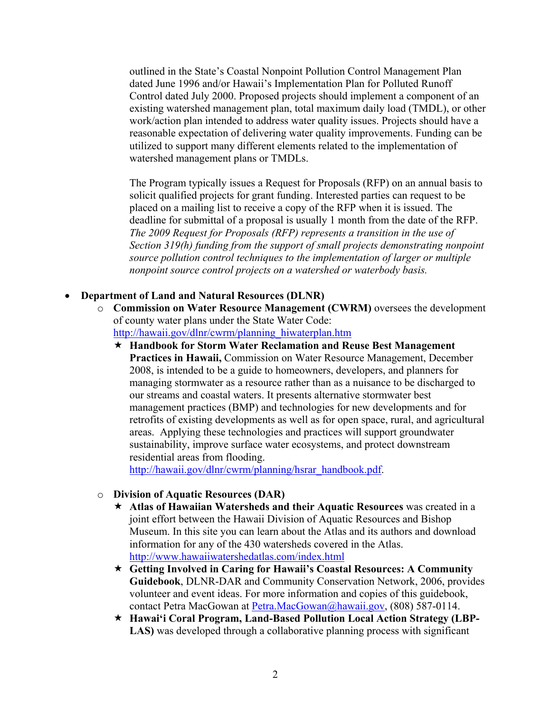outlined in the State's Coastal Nonpoint Pollution Control Management Plan dated June 1996 and/or Hawaii's Implementation Plan for Polluted Runoff Control dated July 2000. Proposed projects should implement a component of an existing watershed management plan, total maximum daily load (TMDL), or other work/action plan intended to address water quality issues. Projects should have a reasonable expectation of delivering water quality improvements. Funding can be utilized to support many different elements related to the implementation of watershed management plans or TMDLs.

The Program typically issues a Request for Proposals (RFP) on an annual basis to solicit qualified projects for grant funding. Interested parties can request to be placed on a mailing list to receive a copy of the RFP when it is issued. The deadline for submittal of a proposal is usually 1 month from the date of the RFP. *The 2009 Request for Proposals (RFP) represents a transition in the use of Section 319(h) funding from the support of small projects demonstrating nonpoint source pollution control techniques to the implementation of larger or multiple nonpoint source control projects on a watershed or waterbody basis.* 

#### • **Department of Land and Natural Resources (DLNR)**

- o **Commission on Water Resource Management (CWRM)** oversees the development of county water plans under the State Water Code: [http://hawaii.gov/dlnr/cwrm/planning\\_hiwaterplan.htm](http://hawaii.gov/dlnr/cwrm/planning_hiwaterplan.htm)
	- **Handbook for Storm Water Reclamation and Reuse Best Management Practices in Hawaii,** Commission on Water Resource Management, December 2008, is intended to be a guide to homeowners, developers, and planners for managing stormwater as a resource rather than as a nuisance to be discharged to our streams and coastal waters. It presents alternative stormwater best management practices (BMP) and technologies for new developments and for retrofits of existing developments as well as for open space, rural, and agricultural areas. Applying these technologies and practices will support groundwater sustainability, improve surface water ecosystems, and protect downstream residential areas from flooding.

[http://hawaii.gov/dlnr/cwrm/planning/hsrar\\_handbook.pdf.](http://hawaii.gov/dlnr/cwrm/planning/hsrar_handbook.pdf)

#### o **Division of Aquatic Resources (DAR)**

- **Atlas of Hawaiian Watersheds and their Aquatic Resources** was created in a joint effort between the Hawaii Division of Aquatic Resources and Bishop Museum. In this site you can learn about the Atlas and its authors and download information for any of the 430 watersheds covered in the Atlas. <http://www.hawaiiwatershedatlas.com/index.html>
- **Getting Involved in Caring for Hawaii's Coastal Resources: A Community Guidebook**, DLNR-DAR and Community Conservation Network, 2006, provides volunteer and event ideas. For more information and copies of this guidebook, contact Petra MacGowan at [Petra.MacGowan@hawaii.gov,](mailto:Petra.MacGowan@hawaii.gov) (808) 587-0114.
- **Hawai'i Coral Program, Land-Based Pollution Local Action Strategy (LBP-LAS)** was developed through a collaborative planning process with significant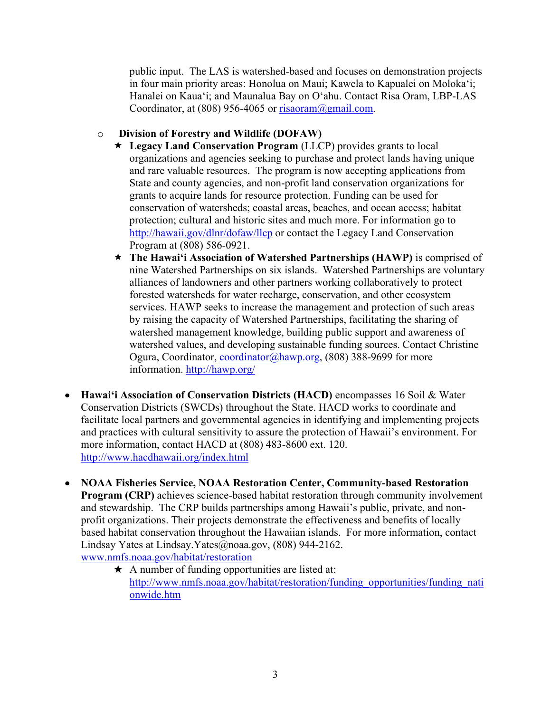public input. The LAS is watershed-based and focuses on demonstration projects in four main priority areas: Honolua on Maui; Kawela to Kapualei on Moloka'i; Hanalei on Kaua'i; and Maunalua Bay on O'ahu. Contact Risa Oram, LBP-LAS Coordinator, at (808) 956-4065 or  $risaoram@gmail.com$ .

#### o **Division of Forestry and Wildlife (DOFAW)**

- **Legacy Land Conservation Program** (LLCP) provides grants to local organizations and agencies seeking to purchase and protect lands having unique and rare valuable resources. The program is now accepting applications from State and county agencies, and non-profit land conservation organizations for grants to acquire lands for resource protection. Funding can be used for conservation of watersheds; coastal areas, beaches, and ocean access; habitat protection; cultural and historic sites and much more. For information go to <http://hawaii.gov/dlnr/dofaw/llcp>or contact the Legacy Land Conservation Program at (808) 586-0921.
- **The Hawai'i Association of Watershed Partnerships (HAWP)** is comprised of nine Watershed Partnerships on six islands. Watershed Partnerships are voluntary alliances of landowners and other partners working collaboratively to protect forested watersheds for water recharge, conservation, and other ecosystem services. HAWP seeks to increase the management and protection of such areas by raising the capacity of Watershed Partnerships, facilitating the sharing of watershed management knowledge, building public support and awareness of watershed values, and developing sustainable funding sources. Contact Christine Ogura, Coordinator, [coordinator@hawp.org](mailto:coordinator@hawp.org), (808) 388-9699 for more information. <http://hawp.org/>
- **Hawai'i Association of Conservation Districts (HACD)** encompasses 16 Soil & Water Conservation Districts (SWCDs) throughout the State. HACD works to coordinate and facilitate local partners and governmental agencies in identifying and implementing projects and practices with cultural sensitivity to assure the protection of Hawaii's environment. For more information, contact HACD at (808) 483-8600 ext. 120. <http://www.hacdhawaii.org/index.html>
- **NOAA Fisheries Service, NOAA Restoration Center, Community-based Restoration Program (CRP)** achieves science-based habitat restoration through community involvement and stewardship. The CRP builds partnerships among Hawaii's public, private, and nonprofit organizations. Their projects demonstrate the effectiveness and benefits of locally based habitat conservation throughout the Hawaiian islands. For more information, contact Lindsay Yates at Lindsay.Yates@noaa.gov, (808) 944-2162. [www.nmfs.noaa.gov/habitat/restoration](http://www.nmfs.noaa.gov/habitat/restoration)
	- $\star$  A number of funding opportunities are listed at: [http://www.nmfs.noaa.gov/habitat/restoration/funding\\_opportunities/funding\\_nati](http://www.nmfs.noaa.gov/habitat/restoration/funding_opportunities/funding_nationwide.htm) [onwide.htm](http://www.nmfs.noaa.gov/habitat/restoration/funding_opportunities/funding_nationwide.htm)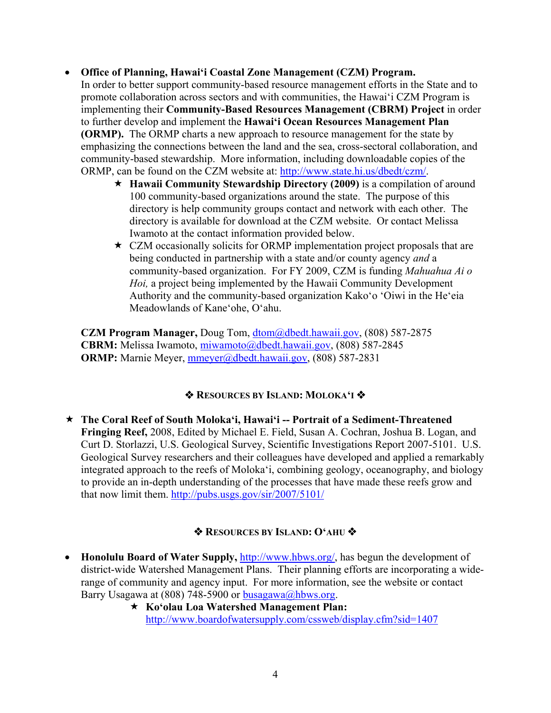## • **Office of Planning, Hawai'i Coastal Zone Management (CZM) Program.**

In order to better support community-based resource management efforts in the State and to promote collaboration across sectors and with communities, the Hawai'i CZM Program is implementing their **Community-Based Resources Management (CBRM) Project** in order to further develop and implement the **Hawai'i Ocean Resources Management Plan (ORMP).** The ORMP charts a new approach to resource management for the state by emphasizing the connections between the land and the sea, cross-sectoral collaboration, and community-based stewardship. More information, including downloadable copies of the ORMP, can be found on the CZM website at: [http://www.state.hi.us/dbedt/czm/.](http://www.state.hi.us/dbedt/czm/)

- **Hawaii Community Stewardship Directory (2009)** is a compilation of around 100 community-based organizations around the state. The purpose of this directory is help community groups contact and network with each other. The directory is available for download at the CZM website. Or contact Melissa Iwamoto at the contact information provided below.
- $\star$  CZM occasionally solicits for ORMP implementation project proposals that are being conducted in partnership with a state and/or county agency *and* a community-based organization. For FY 2009, CZM is funding *Mahuahua Ai o Hoi,* a project being implemented by the Hawaii Community Development Authority and the community-based organization Kako'o 'Oiwi in the He'eia Meadowlands of Kane'ohe, O'ahu.

**CZM Program Manager,** Doug Tom, [dtom@dbedt.hawaii.gov](mailto:dtom@dbedt.hawaii.gov), (808) 587-2875 **CBRM:** Melissa Iwamoto, [miwamoto@dbedt.hawaii.gov,](mailto:miwamoto@dbedt.hawaii.gov) (808) 587-2845 **ORMP:** Marnie Meyer, [mmeyer@dbedt.hawaii.gov,](mailto:mmeyer@dbedt.hawaii.gov) (808) 587-2831

## **RESOURCES BY ISLAND: MOLOKA'I**

 **The Coral Reef of South Moloka'i, Hawai'i -- Portrait of a Sediment-Threatened Fringing Reef,** 2008, Edited by Michael E. Field, Susan A. Cochran, Joshua B. Logan, and Curt D. Storlazzi, U.S. Geological Survey, Scientific Investigations Report 2007-5101. U.S. Geological Survey researchers and their colleagues have developed and applied a remarkably integrated approach to the reefs of Moloka'i, combining geology, oceanography, and biology to provide an in-depth understanding of the processes that have made these reefs grow and that now limit them.<http://pubs.usgs.gov/sir/2007/5101/>

## **RESOURCES BY ISLAND: O'AHU**

- **Honolulu Board of Water Supply, <http://www.hbws.org/>, has begun the development of** district-wide Watershed Management Plans. Their planning efforts are incorporating a widerange of community and agency input. For more information, see the website or contact Barry Usagawa at (808) 748-5900 or [busagawa@hbws.org.](mailto:busagawa@hbws.org)
	- **Ko'olau Loa Watershed Management Plan:**  <http://www.boardofwatersupply.com/cssweb/display.cfm?sid=1407>